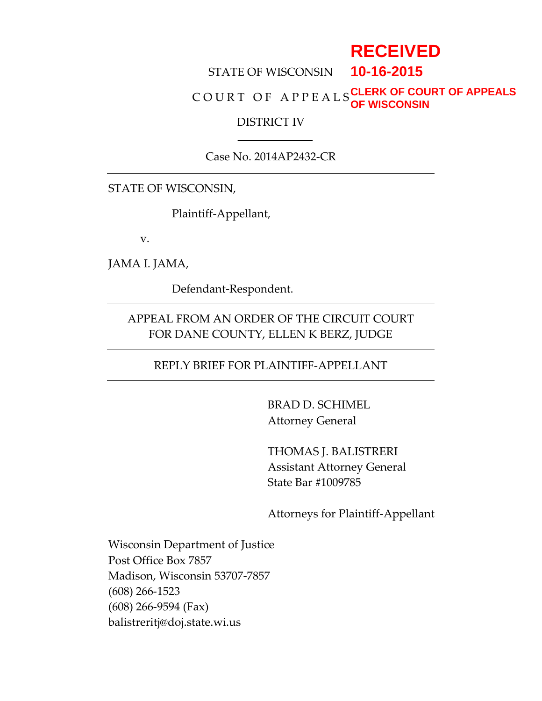# **RECEIVED**

#### STATE OF WISCONSIN **10-16-2015**

#### C O U R T O F A P P E A L S **CLERK OF COURT OF APPEALS OF WISCONSIN**

#### DISTRICT IV

#### Case No. 2014AP2432-CR

#### STATE OF WISCONSIN,

Plaintiff-Appellant,

v.

JAMA I. JAMA,

Defendant-Respondent.

### APPEAL FROM AN ORDER OF THE CIRCUIT COURT FOR DANE COUNTY, ELLEN K BERZ, JUDGE

### REPLY BRIEF FOR PLAINTIFF-APPELLANT

BRAD D. SCHIMEL Attorney General

THOMAS J. BALISTRERI Assistant Attorney General State Bar #1009785

Attorneys for Plaintiff-Appellant

Wisconsin Department of Justice Post Office Box 7857 Madison, Wisconsin 53707-7857 (608) 266-1523 (608) 266-9594 (Fax) balistreritj@doj.state.wi.us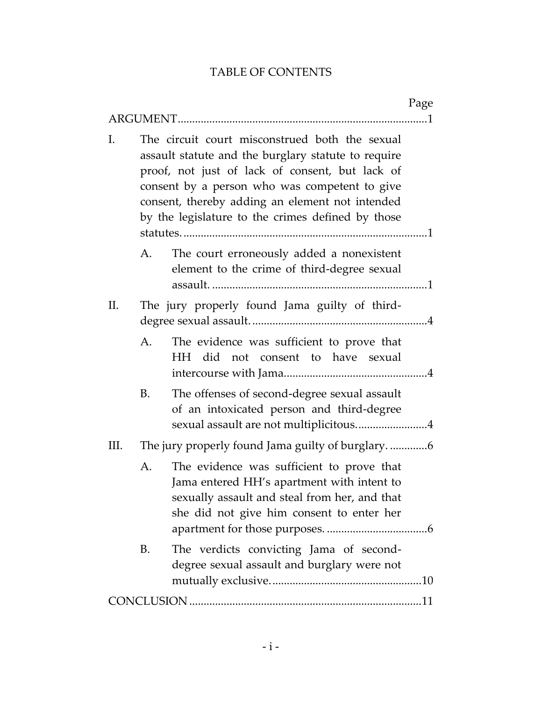### TABLE OF CONTENTS

|      |                                                                                                                                                                                                                                                                                                                   | Page |
|------|-------------------------------------------------------------------------------------------------------------------------------------------------------------------------------------------------------------------------------------------------------------------------------------------------------------------|------|
| I.   | The circuit court misconstrued both the sexual<br>assault statute and the burglary statute to require<br>proof, not just of lack of consent, but lack of<br>consent by a person who was competent to give<br>consent, thereby adding an element not intended<br>by the legislature to the crimes defined by those |      |
| А.   | The court erroneously added a nonexistent<br>element to the crime of third-degree sexual                                                                                                                                                                                                                          |      |
| П.   | The jury properly found Jama guilty of third-                                                                                                                                                                                                                                                                     |      |
| A.   | The evidence was sufficient to prove that<br>HH did not consent to have sexual                                                                                                                                                                                                                                    |      |
| B.   | The offenses of second-degree sexual assault<br>of an intoxicated person and third-degree<br>sexual assault are not multiplicitous4                                                                                                                                                                               |      |
| III. |                                                                                                                                                                                                                                                                                                                   |      |
| A.   | The evidence was sufficient to prove that<br>Jama entered HH's apartment with intent to<br>sexually assault and steal from her, and that<br>she did not give him consent to enter her                                                                                                                             |      |
| B.   | The verdicts convicting Jama of second-<br>degree sexual assault and burglary were not                                                                                                                                                                                                                            |      |
|      |                                                                                                                                                                                                                                                                                                                   |      |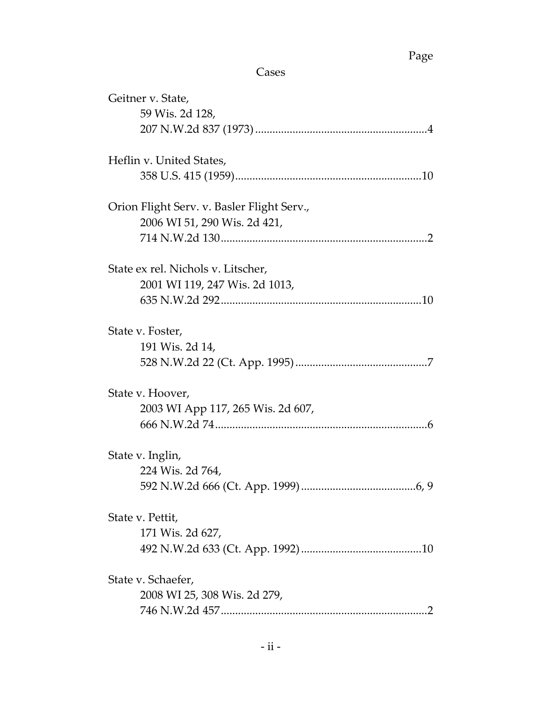## Page

Cases

| Geitner v. State,                          |
|--------------------------------------------|
| 59 Wis. 2d 128,                            |
|                                            |
| Heflin v. United States,                   |
|                                            |
| Orion Flight Serv. v. Basler Flight Serv., |
| 2006 WI 51, 290 Wis. 2d 421,               |
|                                            |
| State ex rel. Nichols v. Litscher,         |
| 2001 WI 119, 247 Wis. 2d 1013,             |
|                                            |
| State v. Foster,                           |
| 191 Wis. 2d 14,                            |
|                                            |
| State v. Hoover,                           |
| 2003 WI App 117, 265 Wis. 2d 607,          |
|                                            |
| State v. Inglin,                           |
| 224 Wis. 2d 764,                           |
| .6, 9                                      |
| State v. Pettit,                           |
| 171 Wis. 2d 627,                           |
|                                            |
| State v. Schaefer,                         |
| 2008 WI 25, 308 Wis. 2d 279,               |
|                                            |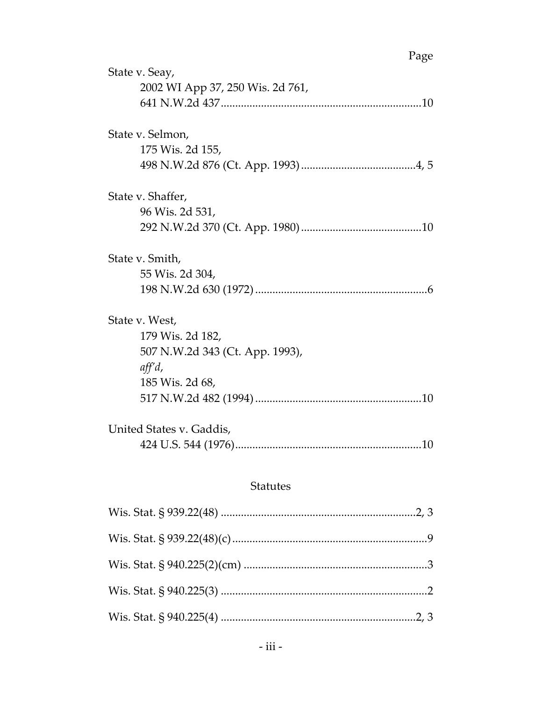| Page                             |
|----------------------------------|
| State v. Seay,                   |
| 2002 WI App 37, 250 Wis. 2d 761, |
|                                  |
| State v. Selmon,                 |
|                                  |
| 175 Wis. 2d 155,                 |
|                                  |
| State v. Shaffer,                |
| 96 Wis. 2d 531,                  |
|                                  |
| State v. Smith,                  |
| 55 Wis. 2d 304,                  |
|                                  |
|                                  |
| State v. West,                   |
| 179 Wis. 2d 182,                 |
| 507 N.W.2d 343 (Ct. App. 1993),  |
| $\mathit{aff} d$ ,               |
| 185 Wis. 2d 68,                  |
|                                  |
| United States v. Gaddis,         |
|                                  |
|                                  |
|                                  |

### Statutes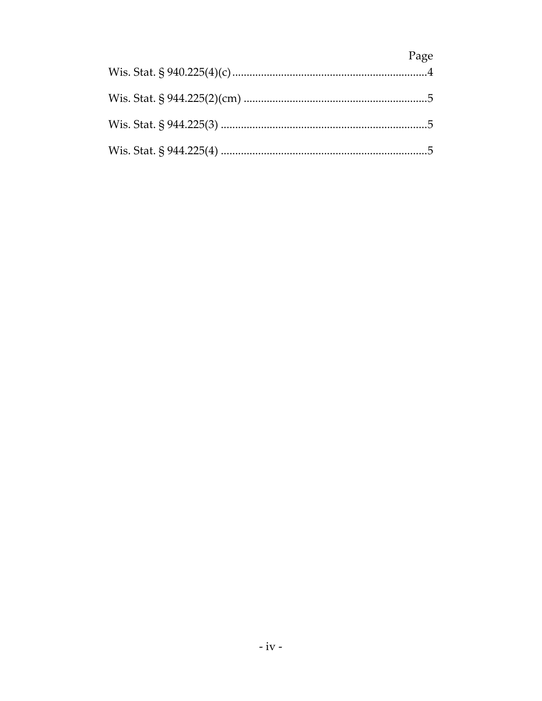| Page |
|------|
|      |
|      |
|      |
|      |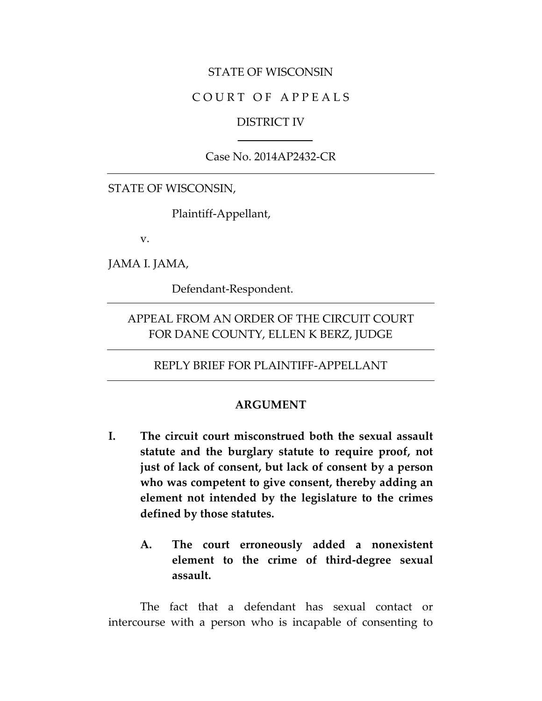#### STATE OF WISCONSIN

#### COURT OF APPEALS

#### DISTRICT IV

### Case No. 2014AP2432-CR

#### STATE OF WISCONSIN,

Plaintiff-Appellant,

v.

JAMA I. JAMA,

Defendant-Respondent.

### APPEAL FROM AN ORDER OF THE CIRCUIT COURT FOR DANE COUNTY, ELLEN K BERZ, JUDGE

REPLY BRIEF FOR PLAINTIFF-APPELLANT

#### **ARGUMENT**

- **I. The circuit court misconstrued both the sexual assault statute and the burglary statute to require proof, not just of lack of consent, but lack of consent by a person who was competent to give consent, thereby adding an element not intended by the legislature to the crimes defined by those statutes.**
	- **A. The court erroneously added a nonexistent element to the crime of third-degree sexual assault.**

The fact that a defendant has sexual contact or intercourse with a person who is incapable of consenting to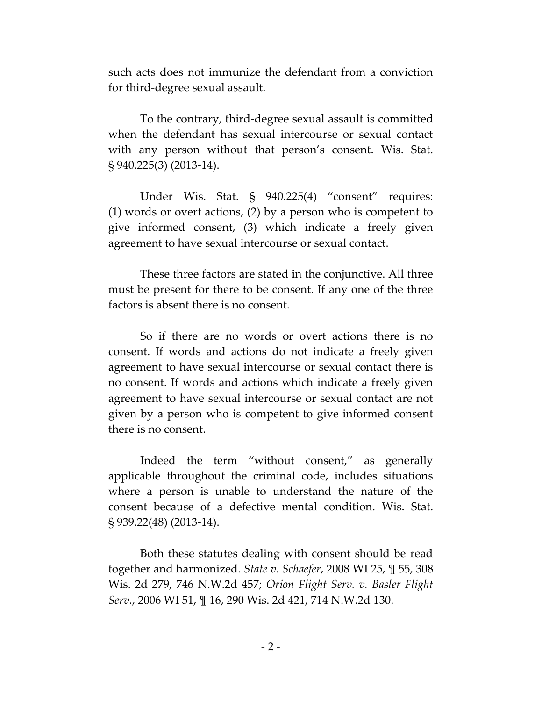such acts does not immunize the defendant from a conviction for third-degree sexual assault.

To the contrary, third-degree sexual assault is committed when the defendant has sexual intercourse or sexual contact with any person without that person's consent. Wis. Stat. § 940.225(3) (2013-14).

Under Wis. Stat. § 940.225(4) "consent" requires: (1) words or overt actions, (2) by a person who is competent to give informed consent, (3) which indicate a freely given agreement to have sexual intercourse or sexual contact.

These three factors are stated in the conjunctive. All three must be present for there to be consent. If any one of the three factors is absent there is no consent.

So if there are no words or overt actions there is no consent. If words and actions do not indicate a freely given agreement to have sexual intercourse or sexual contact there is no consent. If words and actions which indicate a freely given agreement to have sexual intercourse or sexual contact are not given by a person who is competent to give informed consent there is no consent.

Indeed the term "without consent," as generally applicable throughout the criminal code, includes situations where a person is unable to understand the nature of the consent because of a defective mental condition. Wis. Stat. § 939.22(48) (2013-14).

Both these statutes dealing with consent should be read together and harmonized. *State v. Schaefer*, 2008 WI 25, ¶ 55, 308 Wis. 2d 279, 746 N.W.2d 457; *Orion Flight Serv. v. Basler Flight Serv.*, 2006 WI 51, ¶ 16, 290 Wis. 2d 421, 714 N.W.2d 130.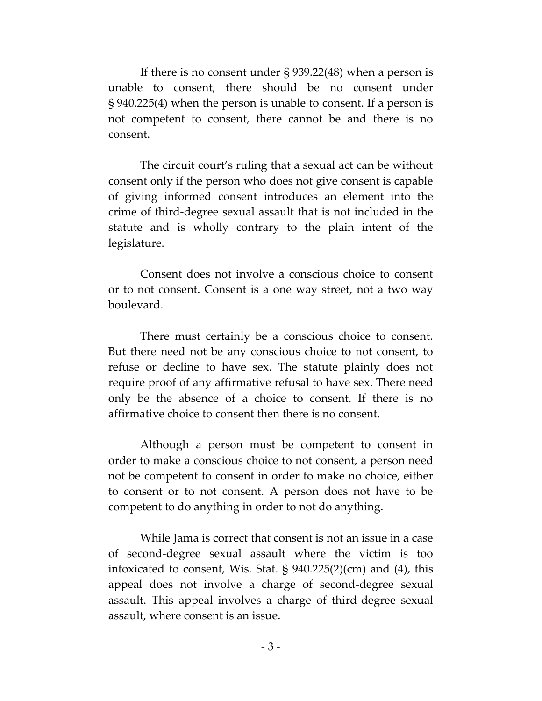If there is no consent under § 939.22(48) when a person is unable to consent, there should be no consent under § 940.225(4) when the person is unable to consent. If a person is not competent to consent, there cannot be and there is no consent.

The circuit court's ruling that a sexual act can be without consent only if the person who does not give consent is capable of giving informed consent introduces an element into the crime of third-degree sexual assault that is not included in the statute and is wholly contrary to the plain intent of the legislature.

Consent does not involve a conscious choice to consent or to not consent. Consent is a one way street, not a two way boulevard.

There must certainly be a conscious choice to consent. But there need not be any conscious choice to not consent, to refuse or decline to have sex. The statute plainly does not require proof of any affirmative refusal to have sex. There need only be the absence of a choice to consent. If there is no affirmative choice to consent then there is no consent.

Although a person must be competent to consent in order to make a conscious choice to not consent, a person need not be competent to consent in order to make no choice, either to consent or to not consent. A person does not have to be competent to do anything in order to not do anything.

While Jama is correct that consent is not an issue in a case of second-degree sexual assault where the victim is too intoxicated to consent, Wis. Stat. § 940.225(2)(cm) and (4), this appeal does not involve a charge of second-degree sexual assault. This appeal involves a charge of third-degree sexual assault, where consent is an issue.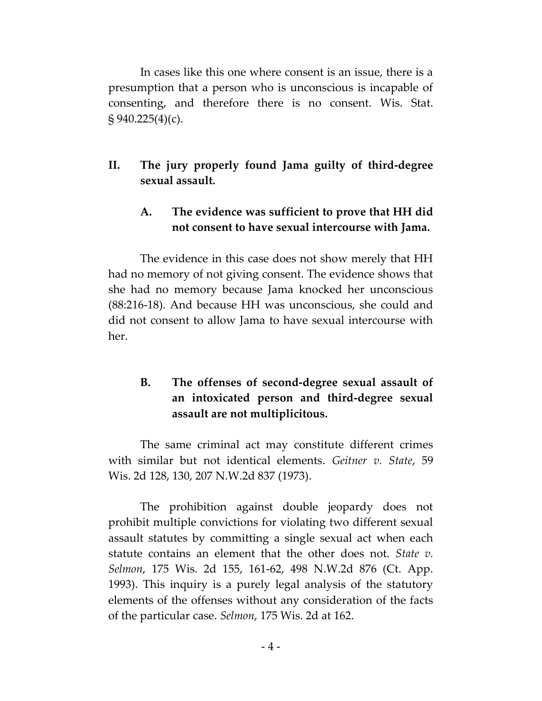In cases like this one where consent is an issue, there is a presumption that a person who is unconscious is incapable of consenting, and therefore there is no consent. Wis. Stat.  $\S 940.225(4)(c)$ .

### **II. The jury properly found Jama guilty of third-degree sexual assault.**

### **A. The evidence was sufficient to prove that HH did not consent to have sexual intercourse with Jama.**

The evidence in this case does not show merely that HH had no memory of not giving consent. The evidence shows that she had no memory because Jama knocked her unconscious (88:216-18). And because HH was unconscious, she could and did not consent to allow Jama to have sexual intercourse with her.

### **B. The offenses of second-degree sexual assault of an intoxicated person and third-degree sexual assault are not multiplicitous.**

The same criminal act may constitute different crimes with similar but not identical elements. *Geitner v. State*, 59 Wis. 2d 128, 130, 207 N.W.2d 837 (1973).

The prohibition against double jeopardy does not prohibit multiple convictions for violating two different sexual assault statutes by committing a single sexual act when each statute contains an element that the other does not. *State v. Selmon*, 175 Wis. 2d 155, 161-62, 498 N.W.2d 876 (Ct. App. 1993). This inquiry is a purely legal analysis of the statutory elements of the offenses without any consideration of the facts of the particular case. *Selmon*, 175 Wis. 2d at 162.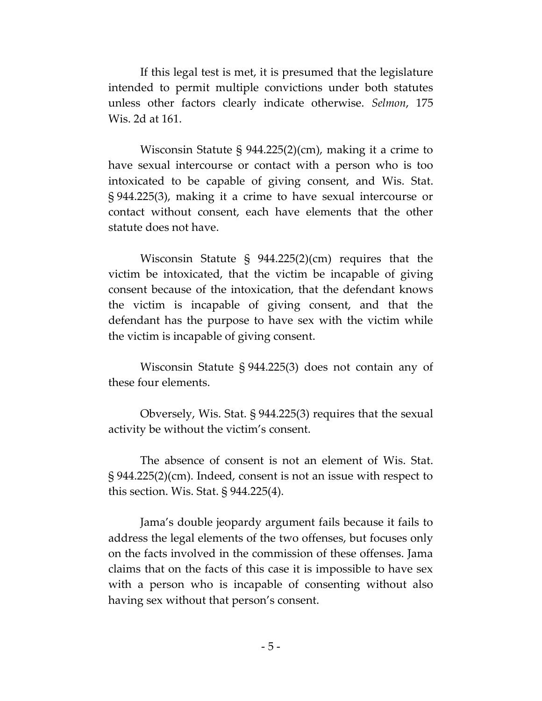If this legal test is met, it is presumed that the legislature intended to permit multiple convictions under both statutes unless other factors clearly indicate otherwise. *Selmon*, 175 Wis. 2d at 161.

Wisconsin Statute § 944.225(2)(cm), making it a crime to have sexual intercourse or contact with a person who is too intoxicated to be capable of giving consent, and Wis. Stat. § 944.225(3), making it a crime to have sexual intercourse or contact without consent, each have elements that the other statute does not have.

Wisconsin Statute § 944.225(2)(cm) requires that the victim be intoxicated, that the victim be incapable of giving consent because of the intoxication, that the defendant knows the victim is incapable of giving consent, and that the defendant has the purpose to have sex with the victim while the victim is incapable of giving consent.

Wisconsin Statute § 944.225(3) does not contain any of these four elements.

Obversely, Wis. Stat. § 944.225(3) requires that the sexual activity be without the victim's consent.

The absence of consent is not an element of Wis. Stat. § 944.225(2)(cm). Indeed, consent is not an issue with respect to this section. Wis. Stat. § 944.225(4).

Jama's double jeopardy argument fails because it fails to address the legal elements of the two offenses, but focuses only on the facts involved in the commission of these offenses. Jama claims that on the facts of this case it is impossible to have sex with a person who is incapable of consenting without also having sex without that person's consent.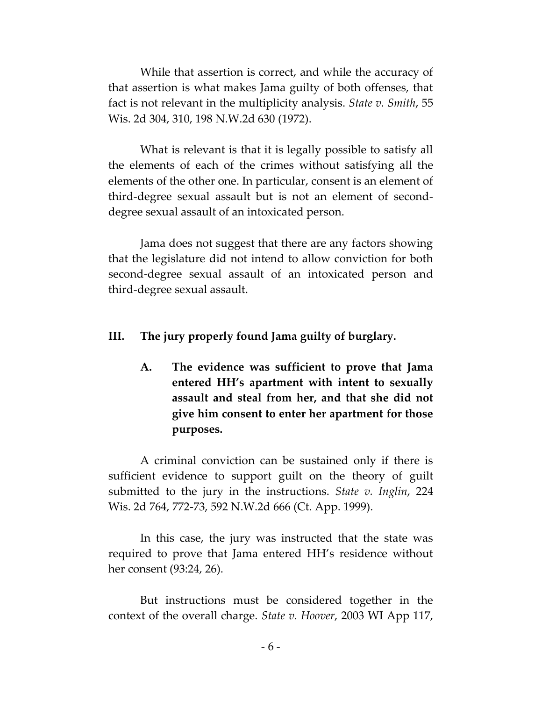While that assertion is correct, and while the accuracy of that assertion is what makes Jama guilty of both offenses, that fact is not relevant in the multiplicity analysis. *State v. Smith*, 55 Wis. 2d 304, 310, 198 N.W.2d 630 (1972).

What is relevant is that it is legally possible to satisfy all the elements of each of the crimes without satisfying all the elements of the other one. In particular, consent is an element of third-degree sexual assault but is not an element of seconddegree sexual assault of an intoxicated person.

Jama does not suggest that there are any factors showing that the legislature did not intend to allow conviction for both second-degree sexual assault of an intoxicated person and third-degree sexual assault.

#### **III. The jury properly found Jama guilty of burglary.**

**A. The evidence was sufficient to prove that Jama entered HH's apartment with intent to sexually assault and steal from her, and that she did not give him consent to enter her apartment for those purposes.**

A criminal conviction can be sustained only if there is sufficient evidence to support guilt on the theory of guilt submitted to the jury in the instructions. *State v. Inglin*, 224 Wis. 2d 764, 772-73, 592 N.W.2d 666 (Ct. App. 1999).

In this case, the jury was instructed that the state was required to prove that Jama entered HH's residence without her consent (93:24, 26).

But instructions must be considered together in the context of the overall charge. *State v. Hoover*, 2003 WI App 117,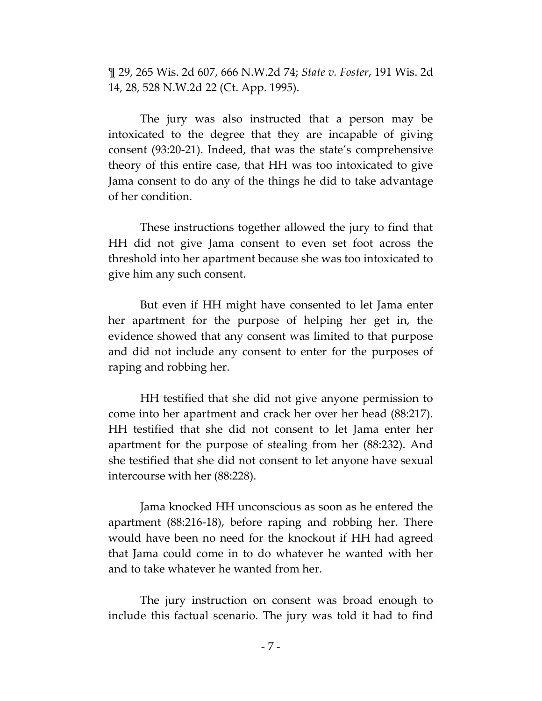¶ 29, 265 Wis. 2d 607, 666 N.W.2d 74; *State v. Foster*, 191 Wis. 2d 14, 28, 528 N.W.2d 22 (Ct. App. 1995).

The jury was also instructed that a person may be intoxicated to the degree that they are incapable of giving consent (93:20-21). Indeed, that was the state's comprehensive theory of this entire case, that HH was too intoxicated to give Jama consent to do any of the things he did to take advantage of her condition.

These instructions together allowed the jury to find that HH did not give Jama consent to even set foot across the threshold into her apartment because she was too intoxicated to give him any such consent.

But even if HH might have consented to let Jama enter her apartment for the purpose of helping her get in, the evidence showed that any consent was limited to that purpose and did not include any consent to enter for the purposes of raping and robbing her.

HH testified that she did not give anyone permission to come into her apartment and crack her over her head (88:217). HH testified that she did not consent to let Jama enter her apartment for the purpose of stealing from her (88:232). And she testified that she did not consent to let anyone have sexual intercourse with her (88:228).

Jama knocked HH unconscious as soon as he entered the apartment (88:216-18), before raping and robbing her. There would have been no need for the knockout if HH had agreed that Jama could come in to do whatever he wanted with her and to take whatever he wanted from her.

The jury instruction on consent was broad enough to include this factual scenario. The jury was told it had to find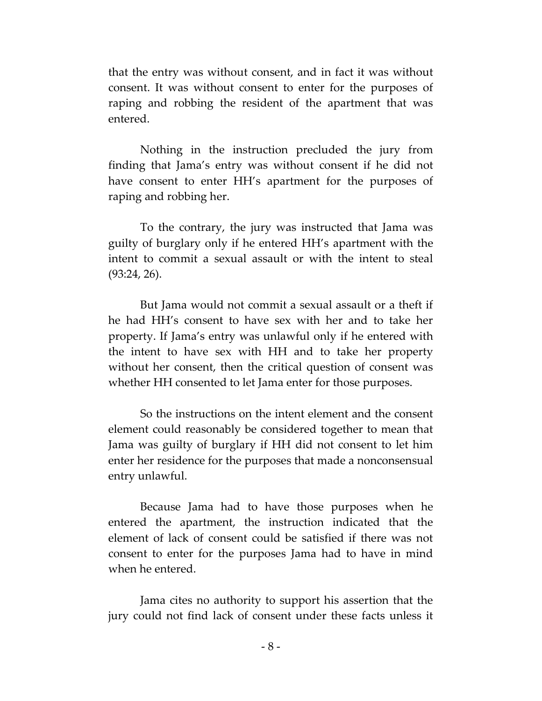that the entry was without consent, and in fact it was without consent. It was without consent to enter for the purposes of raping and robbing the resident of the apartment that was entered.

Nothing in the instruction precluded the jury from finding that Jama's entry was without consent if he did not have consent to enter HH's apartment for the purposes of raping and robbing her.

To the contrary, the jury was instructed that Jama was guilty of burglary only if he entered HH's apartment with the intent to commit a sexual assault or with the intent to steal (93:24, 26).

But Jama would not commit a sexual assault or a theft if he had HH's consent to have sex with her and to take her property. If Jama's entry was unlawful only if he entered with the intent to have sex with HH and to take her property without her consent, then the critical question of consent was whether HH consented to let Jama enter for those purposes.

So the instructions on the intent element and the consent element could reasonably be considered together to mean that Jama was guilty of burglary if HH did not consent to let him enter her residence for the purposes that made a nonconsensual entry unlawful.

Because Jama had to have those purposes when he entered the apartment, the instruction indicated that the element of lack of consent could be satisfied if there was not consent to enter for the purposes Jama had to have in mind when he entered.

Jama cites no authority to support his assertion that the jury could not find lack of consent under these facts unless it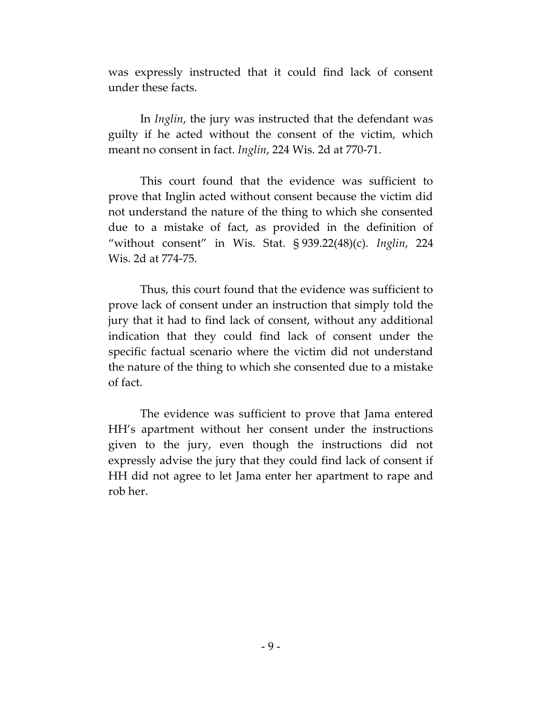was expressly instructed that it could find lack of consent under these facts.

In *Inglin*, the jury was instructed that the defendant was guilty if he acted without the consent of the victim, which meant no consent in fact. *Inglin*, 224 Wis. 2d at 770-71.

This court found that the evidence was sufficient to prove that Inglin acted without consent because the victim did not understand the nature of the thing to which she consented due to a mistake of fact, as provided in the definition of "without consent" in Wis. Stat. § 939.22(48)(c). *Inglin*, 224 Wis. 2d at 774-75.

Thus, this court found that the evidence was sufficient to prove lack of consent under an instruction that simply told the jury that it had to find lack of consent, without any additional indication that they could find lack of consent under the specific factual scenario where the victim did not understand the nature of the thing to which she consented due to a mistake of fact.

The evidence was sufficient to prove that Jama entered HH's apartment without her consent under the instructions given to the jury, even though the instructions did not expressly advise the jury that they could find lack of consent if HH did not agree to let Jama enter her apartment to rape and rob her.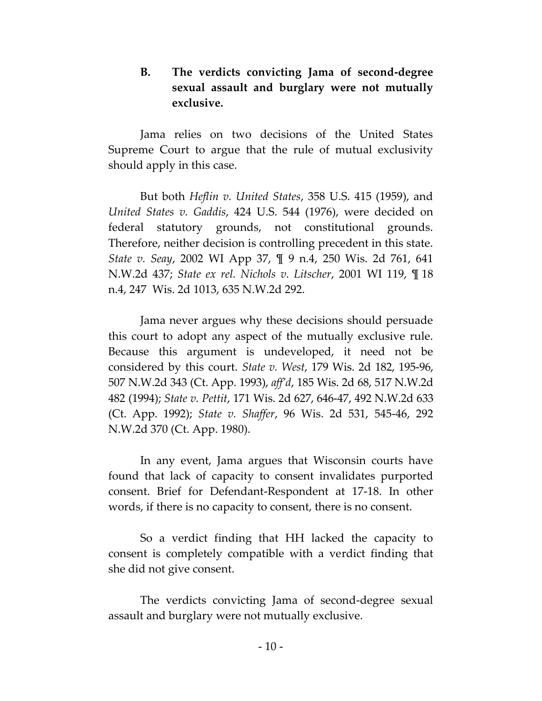### **B. The verdicts convicting Jama of second-degree sexual assault and burglary were not mutually exclusive.**

Jama relies on two decisions of the United States Supreme Court to argue that the rule of mutual exclusivity should apply in this case.

But both *Heflin v. United States*, 358 U.S. 415 (1959), and *United States v. Gaddis*, 424 U.S. 544 (1976), were decided on federal statutory grounds, not constitutional grounds. Therefore, neither decision is controlling precedent in this state. *State v. Seay*, 2002 WI App 37, ¶ 9 n.4, 250 Wis. 2d 761, 641 N.W.2d 437; *State ex rel. Nichols v. Litscher*, 2001 WI 119, ¶ 18 n.4, 247 Wis. 2d 1013, 635 N.W.2d 292.

Jama never argues why these decisions should persuade this court to adopt any aspect of the mutually exclusive rule. Because this argument is undeveloped, it need not be considered by this court. *State v. West*, 179 Wis. 2d 182, 195-96, 507 N.W.2d 343 (Ct. App. 1993), *aff'd*, 185 Wis. 2d 68, 517 N.W.2d 482 (1994); *State v. Pettit*, 171 Wis. 2d 627, 646-47, 492 N.W.2d 633 (Ct. App. 1992); *State v. Shaffer*, 96 Wis. 2d 531, 545-46, 292 N.W.2d 370 (Ct. App. 1980).

In any event, Jama argues that Wisconsin courts have found that lack of capacity to consent invalidates purported consent. Brief for Defendant-Respondent at 17-18. In other words, if there is no capacity to consent, there is no consent.

So a verdict finding that HH lacked the capacity to consent is completely compatible with a verdict finding that she did not give consent.

The verdicts convicting Jama of second-degree sexual assault and burglary were not mutually exclusive.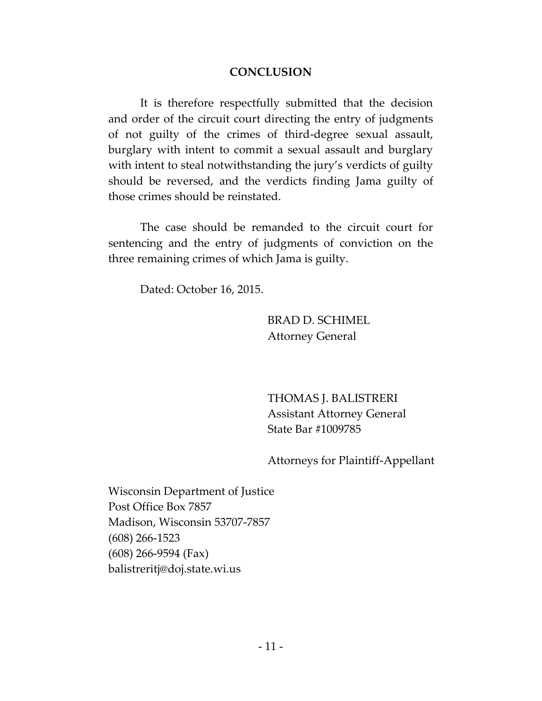### **CONCLUSION**

It is therefore respectfully submitted that the decision and order of the circuit court directing the entry of judgments of not guilty of the crimes of third-degree sexual assault, burglary with intent to commit a sexual assault and burglary with intent to steal notwithstanding the jury's verdicts of guilty should be reversed, and the verdicts finding Jama guilty of those crimes should be reinstated.

The case should be remanded to the circuit court for sentencing and the entry of judgments of conviction on the three remaining crimes of which Jama is guilty.

Dated: October 16, 2015.

BRAD D. SCHIMEL Attorney General

THOMAS J. BALISTRERI Assistant Attorney General State Bar #1009785

Attorneys for Plaintiff-Appellant

Wisconsin Department of Justice Post Office Box 7857 Madison, Wisconsin 53707-7857 (608) 266-1523 (608) 266-9594 (Fax) balistreritj@doj.state.wi.us